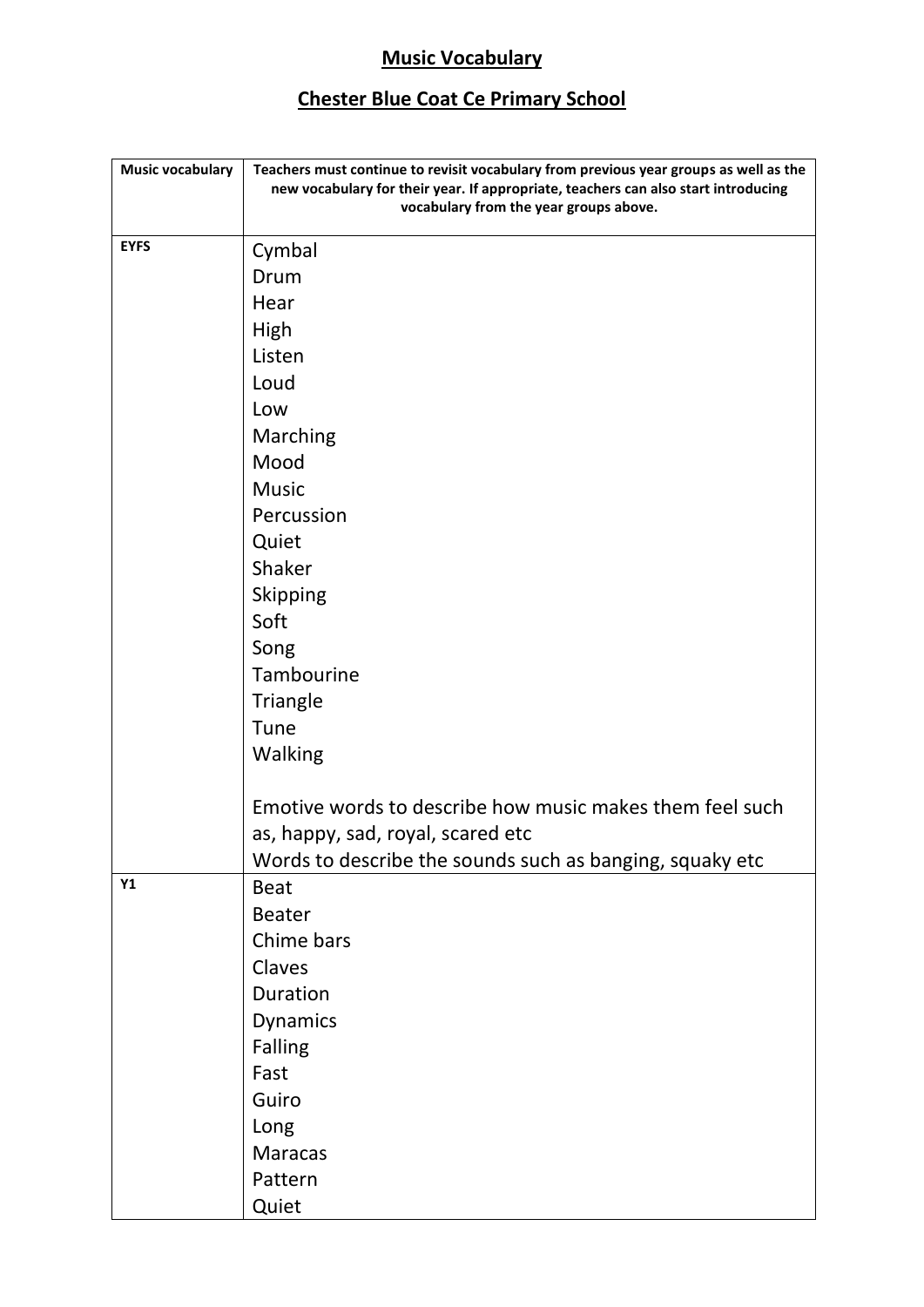## **Music Vocabulary**

## **Chester Blue Coat Ce Primary School**

| <b>Music vocabulary</b> | Teachers must continue to revisit vocabulary from previous year groups as well as the<br>new vocabulary for their year. If appropriate, teachers can also start introducing<br>vocabulary from the year groups above. |
|-------------------------|-----------------------------------------------------------------------------------------------------------------------------------------------------------------------------------------------------------------------|
| <b>EYFS</b>             | Cymbal                                                                                                                                                                                                                |
|                         | Drum                                                                                                                                                                                                                  |
|                         | Hear                                                                                                                                                                                                                  |
|                         | High                                                                                                                                                                                                                  |
|                         | Listen                                                                                                                                                                                                                |
|                         | Loud                                                                                                                                                                                                                  |
|                         | Low                                                                                                                                                                                                                   |
|                         | Marching                                                                                                                                                                                                              |
|                         | Mood                                                                                                                                                                                                                  |
|                         | <b>Music</b>                                                                                                                                                                                                          |
|                         | Percussion                                                                                                                                                                                                            |
|                         | Quiet                                                                                                                                                                                                                 |
|                         | Shaker                                                                                                                                                                                                                |
|                         | <b>Skipping</b>                                                                                                                                                                                                       |
|                         | Soft                                                                                                                                                                                                                  |
|                         | Song                                                                                                                                                                                                                  |
|                         | Tambourine                                                                                                                                                                                                            |
|                         | Triangle                                                                                                                                                                                                              |
|                         | Tune                                                                                                                                                                                                                  |
|                         | Walking                                                                                                                                                                                                               |
|                         | Emotive words to describe how music makes them feel such                                                                                                                                                              |
|                         | as, happy, sad, royal, scared etc                                                                                                                                                                                     |
|                         | Words to describe the sounds such as banging, squaky etc                                                                                                                                                              |
| Y1                      | <b>Beat</b>                                                                                                                                                                                                           |
|                         | <b>Beater</b>                                                                                                                                                                                                         |
|                         | Chime bars                                                                                                                                                                                                            |
|                         | Claves                                                                                                                                                                                                                |
|                         | Duration                                                                                                                                                                                                              |
|                         | <b>Dynamics</b>                                                                                                                                                                                                       |
|                         | <b>Falling</b>                                                                                                                                                                                                        |
|                         | Fast                                                                                                                                                                                                                  |
|                         | Guiro                                                                                                                                                                                                                 |
|                         | Long                                                                                                                                                                                                                  |
|                         | Maracas                                                                                                                                                                                                               |
|                         | Pattern                                                                                                                                                                                                               |
|                         | Quiet                                                                                                                                                                                                                 |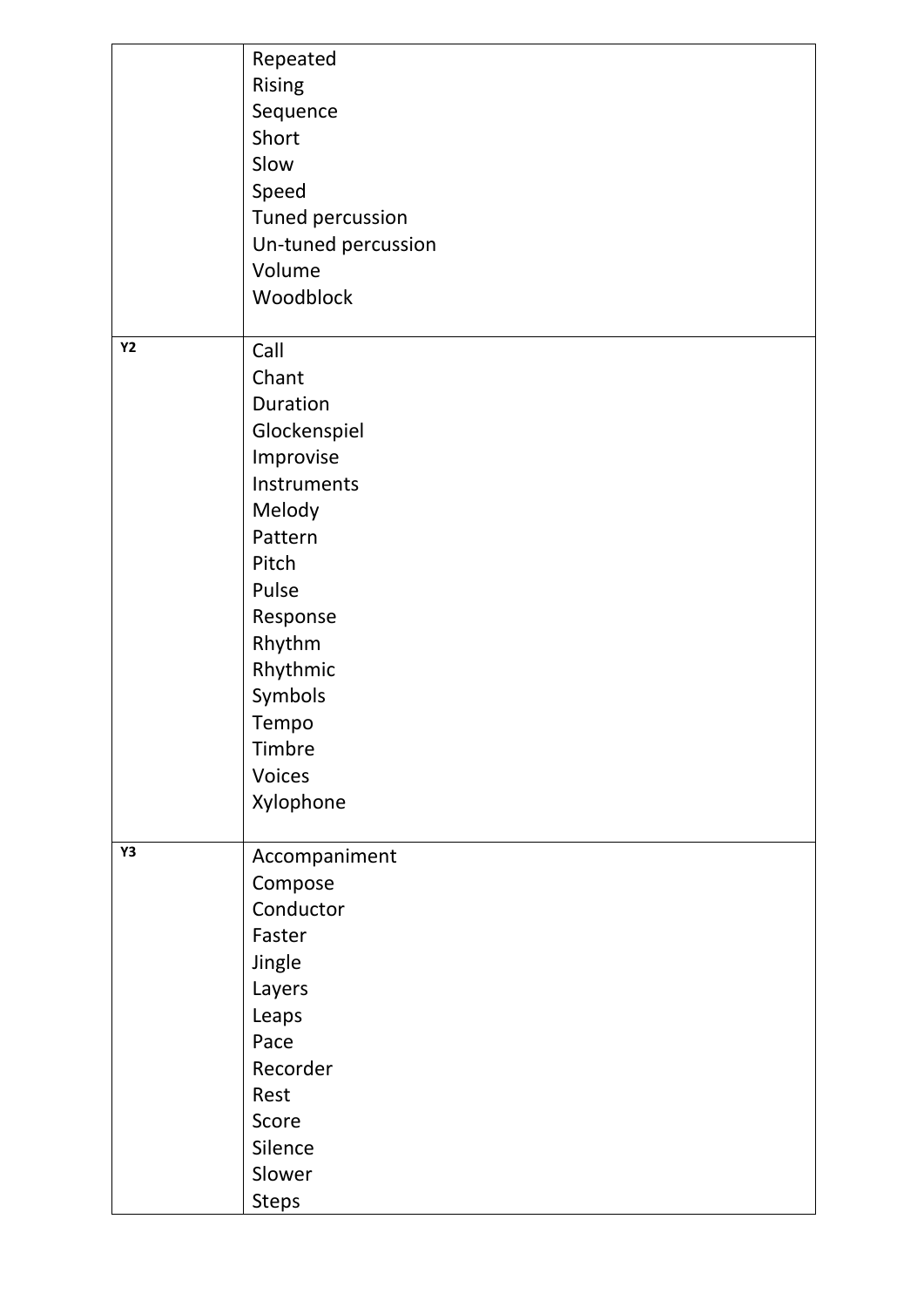|    | Repeated                |
|----|-------------------------|
|    | Rising                  |
|    | Sequence                |
|    | Short                   |
|    | Slow                    |
|    | Speed                   |
|    | <b>Tuned percussion</b> |
|    | Un-tuned percussion     |
|    | Volume                  |
|    | Woodblock               |
|    |                         |
| Y2 | Call                    |
|    | Chant                   |
|    | Duration                |
|    | Glockenspiel            |
|    | Improvise               |
|    | Instruments             |
|    | Melody                  |
|    | Pattern                 |
|    | Pitch                   |
|    | Pulse                   |
|    | Response                |
|    | Rhythm                  |
|    | Rhythmic                |
|    | Symbols                 |
|    | Tempo                   |
|    | Timbre                  |
|    | Voices                  |
|    | Xylophone               |
|    |                         |
| Υ3 | Accompaniment           |
|    | Compose                 |
|    | Conductor               |
|    | Faster                  |
|    | Jingle                  |
|    | Layers                  |
|    | Leaps                   |
|    | Pace                    |
|    | Recorder                |
|    | Rest                    |
|    | Score                   |
|    | Silence                 |
|    | Slower                  |
|    | <b>Steps</b>            |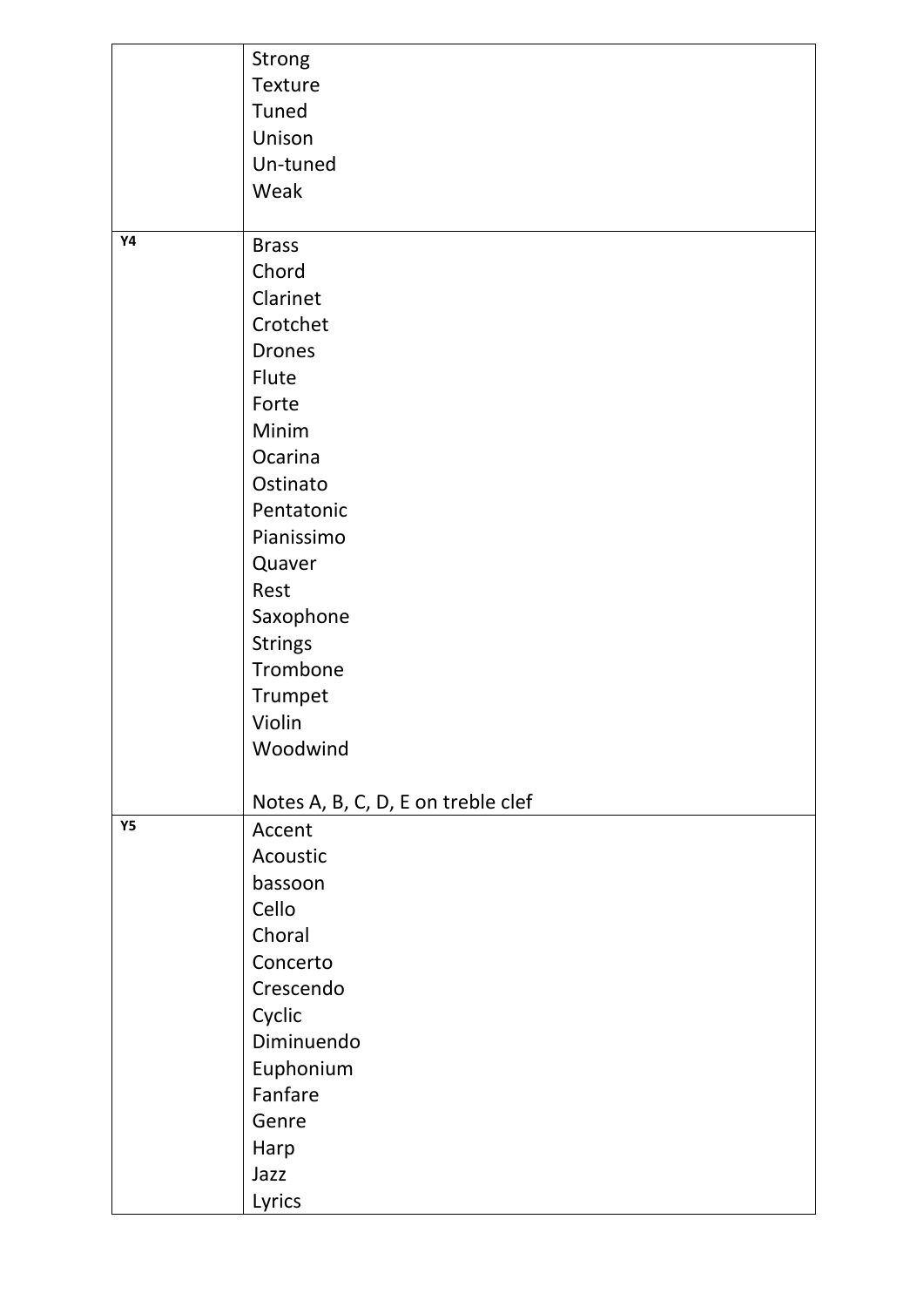|           | Strong                             |
|-----------|------------------------------------|
|           | Texture                            |
|           | Tuned                              |
|           | Unison                             |
|           | Un-tuned                           |
|           | Weak                               |
|           |                                    |
| <b>Y4</b> | <b>Brass</b>                       |
|           | Chord                              |
|           | Clarinet                           |
|           | Crotchet                           |
|           | <b>Drones</b>                      |
|           | Flute                              |
|           | Forte                              |
|           | Minim                              |
|           | Ocarina                            |
|           | Ostinato                           |
|           | Pentatonic                         |
|           | Pianissimo                         |
|           | Quaver                             |
|           | Rest                               |
|           | Saxophone                          |
|           | <b>Strings</b>                     |
|           | Trombone                           |
|           | Trumpet                            |
|           | Violin                             |
|           | Woodwind                           |
|           |                                    |
|           | Notes A, B, C, D, E on treble clef |
| <b>Y5</b> | Accent                             |
|           | Acoustic                           |
|           | bassoon                            |
|           | Cello                              |
|           | Choral                             |
|           | Concerto                           |
|           | Crescendo                          |
|           | Cyclic                             |
|           | Diminuendo                         |
|           | Euphonium                          |
|           | Fanfare                            |
|           | Genre                              |
|           | Harp                               |
|           | Jazz                               |
|           | Lyrics                             |